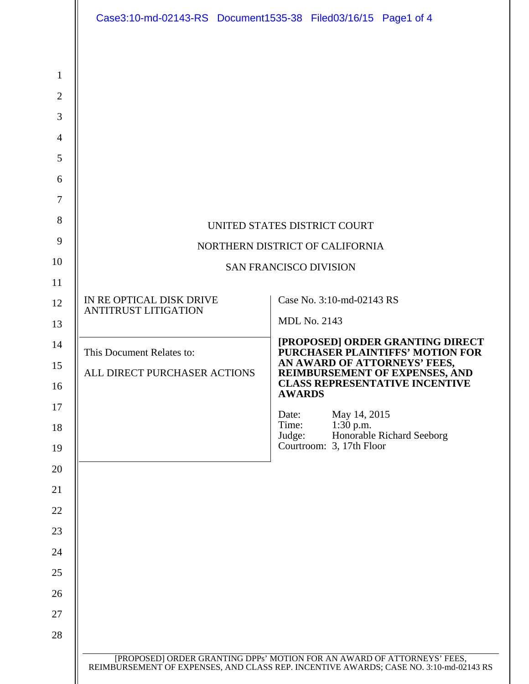|                               | Case3:10-md-02143-RS Document1535-38 Filed03/16/15 Page1 of 4   |  |                           |                             |  |                                                                         |
|-------------------------------|-----------------------------------------------------------------|--|---------------------------|-----------------------------|--|-------------------------------------------------------------------------|
|                               |                                                                 |  |                           |                             |  |                                                                         |
|                               |                                                                 |  |                           |                             |  |                                                                         |
|                               |                                                                 |  |                           |                             |  |                                                                         |
|                               |                                                                 |  |                           |                             |  |                                                                         |
|                               |                                                                 |  |                           |                             |  |                                                                         |
|                               |                                                                 |  |                           |                             |  |                                                                         |
|                               |                                                                 |  |                           |                             |  |                                                                         |
|                               |                                                                 |  |                           |                             |  |                                                                         |
|                               | UNITED STATES DISTRICT COURT<br>NORTHERN DISTRICT OF CALIFORNIA |  |                           |                             |  |                                                                         |
|                               |                                                                 |  |                           |                             |  |                                                                         |
| <b>SAN FRANCISCO DIVISION</b> |                                                                 |  |                           |                             |  |                                                                         |
|                               | IN RE OPTICAL DISK DRIVE                                        |  | Case No. 3:10-md-02143 RS |                             |  |                                                                         |
|                               | <b>ANTITRUST LITIGATION</b>                                     |  | <b>MDL No. 2143</b>       |                             |  |                                                                         |
|                               |                                                                 |  |                           |                             |  | [PROPOSED] ORDER GRANTING DIRECT                                        |
|                               | This Document Relates to:                                       |  |                           |                             |  | PURCHASER PLAINTIFFS' MOTION FOR<br>AN AWARD OF ATTORNEYS' FEES,        |
|                               | ALL DIRECT PURCHASER ACTIONS                                    |  |                           |                             |  | REIMBURSEMENT OF EXPENSES, AND<br><b>CLASS REPRESENTATIVE INCENTIVE</b> |
|                               |                                                                 |  | <b>AWARDS</b><br>Date:    |                             |  |                                                                         |
|                               |                                                                 |  | Time:<br>Judge:           | May 14, 2015<br>$1:30$ p.m. |  | Honorable Richard Seeborg                                               |
|                               |                                                                 |  |                           | Courtroom: 3, 17th Floor    |  |                                                                         |
|                               |                                                                 |  |                           |                             |  |                                                                         |
|                               |                                                                 |  |                           |                             |  |                                                                         |
|                               |                                                                 |  |                           |                             |  |                                                                         |
|                               |                                                                 |  |                           |                             |  |                                                                         |
|                               |                                                                 |  |                           |                             |  |                                                                         |
|                               |                                                                 |  |                           |                             |  |                                                                         |
|                               |                                                                 |  |                           |                             |  |                                                                         |
|                               |                                                                 |  |                           |                             |  |                                                                         |
|                               |                                                                 |  |                           |                             |  |                                                                         |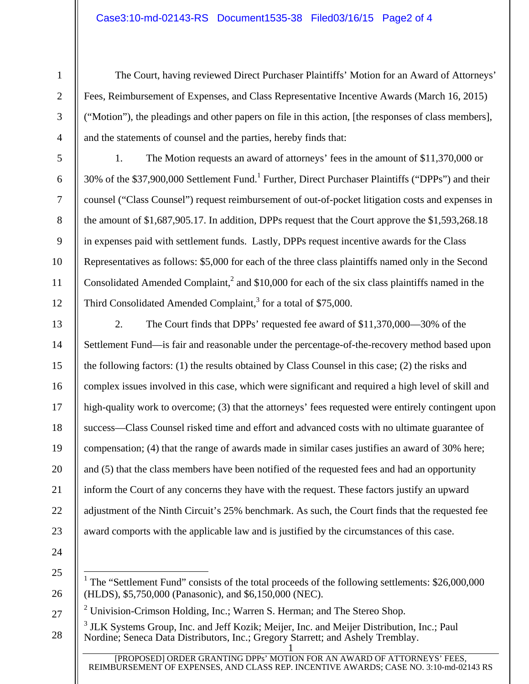2

3

4

5

6

7

8

9

10

11

12

1

The Court, having reviewed Direct Purchaser Plaintiffs' Motion for an Award of Attorneys' Fees, Reimbursement of Expenses, and Class Representative Incentive Awards (March 16, 2015) ("Motion"), the pleadings and other papers on file in this action, [the responses of class members], and the statements of counsel and the parties, hereby finds that:

1. The Motion requests an award of attorneys' fees in the amount of \$11,370,000 or 30% of the \$37,900,000 Settlement Fund.<sup>1</sup> Further, Direct Purchaser Plaintiffs ("DPPs") and their counsel ("Class Counsel") request reimbursement of out-of-pocket litigation costs and expenses in the amount of \$1,687,905.17. In addition, DPPs request that the Court approve the \$1,593,268.18 in expenses paid with settlement funds. Lastly, DPPs request incentive awards for the Class Representatives as follows: \$5,000 for each of the three class plaintiffs named only in the Second Consolidated Amended Complaint,<sup>2</sup> and \$10,000 for each of the six class plaintiffs named in the Third Consolidated Amended Complaint, $3$  for a total of \$75,000.

13

14

15

16

17

18

19

20

21

22

23

2. The Court finds that DPPs' requested fee award of \$11,370,000—30% of the Settlement Fund—is fair and reasonable under the percentage-of-the-recovery method based upon the following factors: (1) the results obtained by Class Counsel in this case; (2) the risks and complex issues involved in this case, which were significant and required a high level of skill and high-quality work to overcome; (3) that the attorneys' fees requested were entirely contingent upon success—Class Counsel risked time and effort and advanced costs with no ultimate guarantee of compensation; (4) that the range of awards made in similar cases justifies an award of 30% here; and (5) that the class members have been notified of the requested fees and had an opportunity inform the Court of any concerns they have with the request. These factors justify an upward adjustment of the Ninth Circuit's 25% benchmark. As such, the Court finds that the requested fee award comports with the applicable law and is justified by the circumstances of this case.

- 24
- 25

26

<sup>&</sup>lt;sup>1</sup> The "Settlement Fund" consists of the total proceeds of the following settlements: \$26,000,000 (HLDS), \$5,750,000 (Panasonic), and \$6,150,000 (NEC).

<sup>27</sup>  <sup>2</sup> Univision-Crimson Holding, Inc.; Warren S. Herman; and The Stereo Shop.

<sup>1</sup> 28 <sup>3</sup> JLK Systems Group, Inc. and Jeff Kozik; Meijer, Inc. and Meijer Distribution, Inc.; Paul Nordine; Seneca Data Distributors, Inc.; Gregory Starrett; and Ashely Tremblay.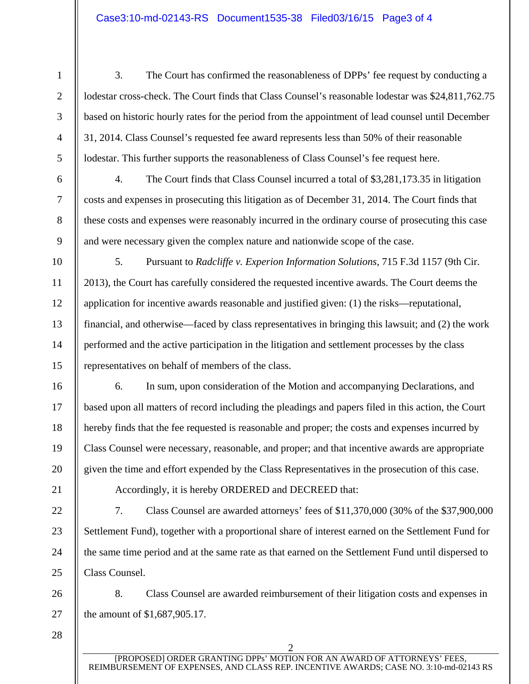2

3

4

5

6

7

8

9

10

11

12

13

14

15

16

17

18

19

20

1

3. The Court has confirmed the reasonableness of DPPs' fee request by conducting a lodestar cross-check. The Court finds that Class Counsel's reasonable lodestar was \$24,811,762.75 based on historic hourly rates for the period from the appointment of lead counsel until December 31, 2014. Class Counsel's requested fee award represents less than 50% of their reasonable lodestar. This further supports the reasonableness of Class Counsel's fee request here.

- 4. The Court finds that Class Counsel incurred a total of \$3,281,173.35 in litigation costs and expenses in prosecuting this litigation as of December 31, 2014. The Court finds that these costs and expenses were reasonably incurred in the ordinary course of prosecuting this case and were necessary given the complex nature and nationwide scope of the case.
- 5. Pursuant to *Radcliffe v. Experion Information Solutions*, 715 F.3d 1157 (9th Cir. 2013), the Court has carefully considered the requested incentive awards. The Court deems the application for incentive awards reasonable and justified given: (1) the risks—reputational, financial, and otherwise—faced by class representatives in bringing this lawsuit; and (2) the work performed and the active participation in the litigation and settlement processes by the class representatives on behalf of members of the class.

6. In sum, upon consideration of the Motion and accompanying Declarations, and based upon all matters of record including the pleadings and papers filed in this action, the Court hereby finds that the fee requested is reasonable and proper; the costs and expenses incurred by Class Counsel were necessary, reasonable, and proper; and that incentive awards are appropriate given the time and effort expended by the Class Representatives in the prosecution of this case.

21 22

23

24

25

Accordingly, it is hereby ORDERED and DECREED that:

7. Class Counsel are awarded attorneys' fees of \$11,370,000 (30% of the \$37,900,000 Settlement Fund), together with a proportional share of interest earned on the Settlement Fund for the same time period and at the same rate as that earned on the Settlement Fund until dispersed to Class Counsel.

26 27 8. Class Counsel are awarded reimbursement of their litigation costs and expenses in the amount of \$1,687,905.17.

28